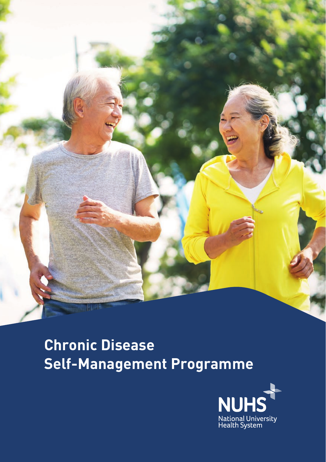

# **Chronic Disease Self-Management Programme**

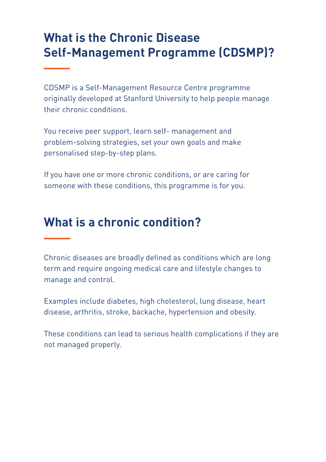### **What is the Chronic Disease Self-Management Programme (CDSMP)?**

CDSMP is a Self-Management Resource Centre programme originally developed at Stanford University to help people manage their chronic conditions.

You receive peer support, learn self- management and problem-solving strategies, set your own goals and make personalised step-by-step plans.

If you have one or more chronic conditions, or are caring for someone with these conditions, this programme is for you.

#### **What is a chronic condition?**

Chronic diseases are broadly defined as conditions which are long term and require ongoing medical care and lifestyle changes to manage and control.

Examples include diabetes, high cholesterol, lung disease, heart disease, arthritis, stroke, backache, hypertension and obesity.

These conditions can lead to serious health complications if they are not managed properly.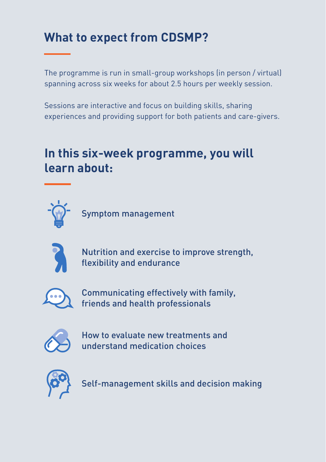## **What to expect from CDSMP?**

The programme is run in small-group workshops (in person / virtual) spanning across six weeks for about 2.5 hours per weekly session.

Sessions are interactive and focus on building skills, sharing experiences and providing support for both patients and care-givers.

### **In this six-week programme, you will learn about:**



Symptom management



Nutrition and exercise to improve strength, flexibility and endurance



Communicating effectively with family, friends and health professionals



How to evaluate new treatments and understand medication choices



Self-management skills and decision making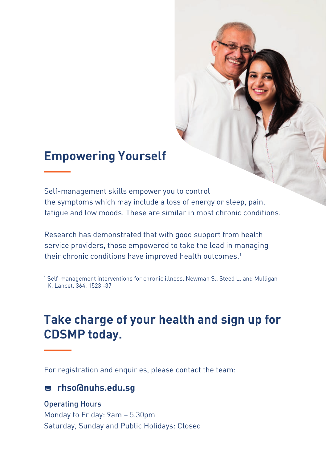#### **Empowering Yourself**

Self-management skills empower you to control the symptoms which may include a loss of energy or sleep, pain, fatigue and low moods. These are similar in most chronic conditions.

Research has demonstrated that with good support from health service providers, those empowered to take the lead in managing their chronic conditions have improved health outcomes.<sup>1</sup>

1 Self-management interventions for chronic illness, Newman S., Steed L. and Mulligan K. Lancet. 364, 1523 -37

#### **Take charge of your health and sign up for CDSMP today.**

For registration and enquiries, please contact the team:

#### **rhso@nuhs.edu.sg**

Operating Hours Monday to Friday: 9am – 5.30pm

Saturday, Sunday and Public Holidays: Closed